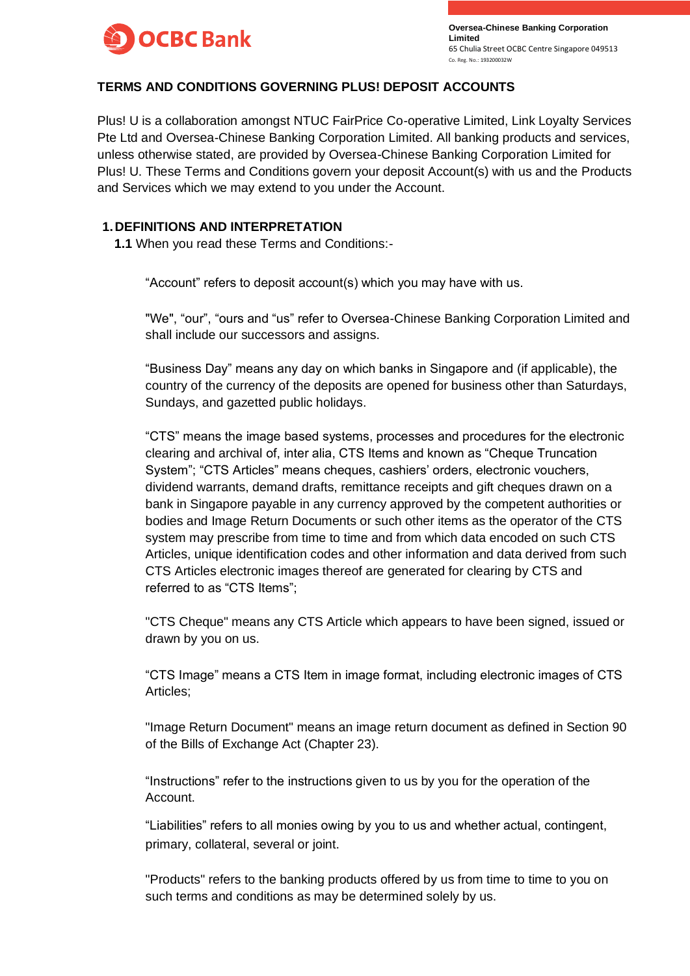

## **TERMS AND CONDITIONS GOVERNING PLUS! DEPOSIT ACCOUNTS**

Plus! U is a collaboration amongst NTUC FairPrice Co-operative Limited, Link Loyalty Services Pte Ltd and Oversea-Chinese Banking Corporation Limited. All banking products and services, unless otherwise stated, are provided by Oversea-Chinese Banking Corporation Limited for Plus! U. These Terms and Conditions govern your deposit Account(s) with us and the Products and Services which we may extend to you under the Account.

## **1.DEFINITIONS AND INTERPRETATION**

**1.1** When you read these Terms and Conditions:-

"Account" refers to deposit account(s) which you may have with us.

"We", "our", "ours and "us" refer to Oversea-Chinese Banking Corporation Limited and shall include our successors and assigns.

"Business Day" means any day on which banks in Singapore and (if applicable), the country of the currency of the deposits are opened for business other than Saturdays, Sundays, and gazetted public holidays.

"CTS" means the image based systems, processes and procedures for the electronic clearing and archival of, inter alia, CTS Items and known as "Cheque Truncation System"; "CTS Articles" means cheques, cashiers' orders, electronic vouchers, dividend warrants, demand drafts, remittance receipts and gift cheques drawn on a bank in Singapore payable in any currency approved by the competent authorities or bodies and Image Return Documents or such other items as the operator of the CTS system may prescribe from time to time and from which data encoded on such CTS Articles, unique identification codes and other information and data derived from such CTS Articles electronic images thereof are generated for clearing by CTS and referred to as "CTS Items";

"CTS Cheque" means any CTS Article which appears to have been signed, issued or drawn by you on us.

"CTS Image" means a CTS Item in image format, including electronic images of CTS Articles;

"Image Return Document" means an image return document as defined in Section 90 of the Bills of Exchange Act (Chapter 23).

"Instructions" refer to the instructions given to us by you for the operation of the Account.

"Liabilities" refers to all monies owing by you to us and whether actual, contingent, primary, collateral, several or joint.

"Products" refers to the banking products offered by us from time to time to you on such terms and conditions as may be determined solely by us.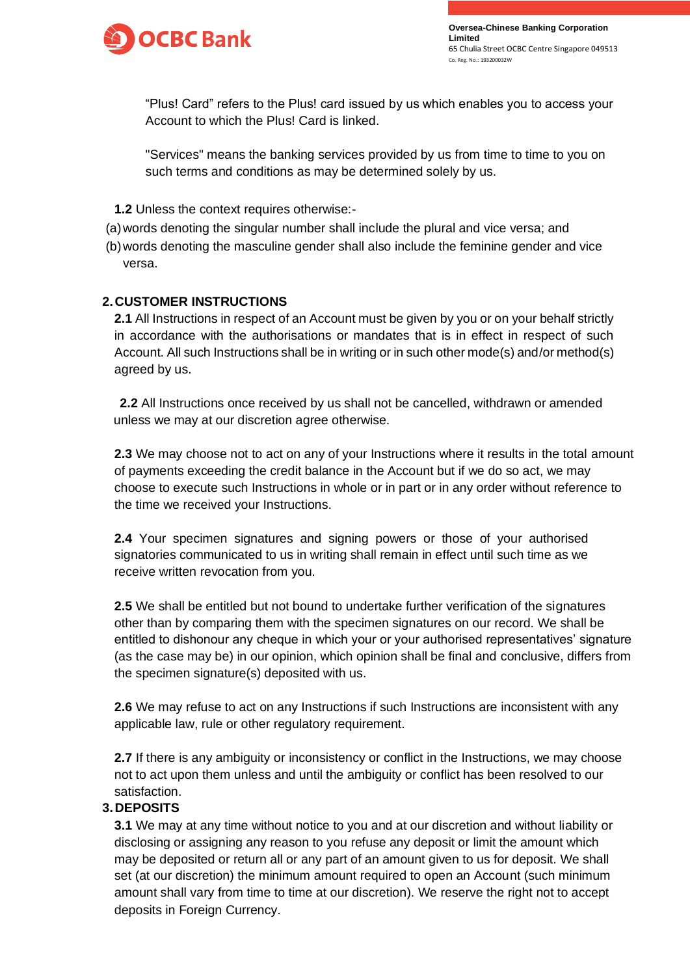

"Plus! Card" refers to the Plus! card issued by us which enables you to access your Account to which the Plus! Card is linked.

"Services" means the banking services provided by us from time to time to you on such terms and conditions as may be determined solely by us.

- **1.2** Unless the context requires otherwise:-
- (a)words denoting the singular number shall include the plural and vice versa; and
- (b)words denoting the masculine gender shall also include the feminine gender and vice versa.

## **2.CUSTOMER INSTRUCTIONS**

**2.1** All Instructions in respect of an Account must be given by you or on your behalf strictly in accordance with the authorisations or mandates that is in effect in respect of such Account. All such Instructions shall be in writing or in such other mode(s) and/or method(s) agreed by us.

**2.2** All Instructions once received by us shall not be cancelled, withdrawn or amended unless we may at our discretion agree otherwise.

**2.3** We may choose not to act on any of your Instructions where it results in the total amount of payments exceeding the credit balance in the Account but if we do so act, we may choose to execute such Instructions in whole or in part or in any order without reference to the time we received your Instructions.

**2.4** Your specimen signatures and signing powers or those of your authorised signatories communicated to us in writing shall remain in effect until such time as we receive written revocation from you.

**2.5** We shall be entitled but not bound to undertake further verification of the signatures other than by comparing them with the specimen signatures on our record. We shall be entitled to dishonour any cheque in which your or your authorised representatives' signature (as the case may be) in our opinion, which opinion shall be final and conclusive, differs from the specimen signature(s) deposited with us.

**2.6** We may refuse to act on any Instructions if such Instructions are inconsistent with any applicable law, rule or other regulatory requirement.

**2.7** If there is any ambiguity or inconsistency or conflict in the Instructions, we may choose not to act upon them unless and until the ambiguity or conflict has been resolved to our satisfaction.

### **3.DEPOSITS**

**3.1** We may at any time without notice to you and at our discretion and without liability or disclosing or assigning any reason to you refuse any deposit or limit the amount which may be deposited or return all or any part of an amount given to us for deposit. We shall set (at our discretion) the minimum amount required to open an Account (such minimum amount shall vary from time to time at our discretion). We reserve the right not to accept deposits in Foreign Currency.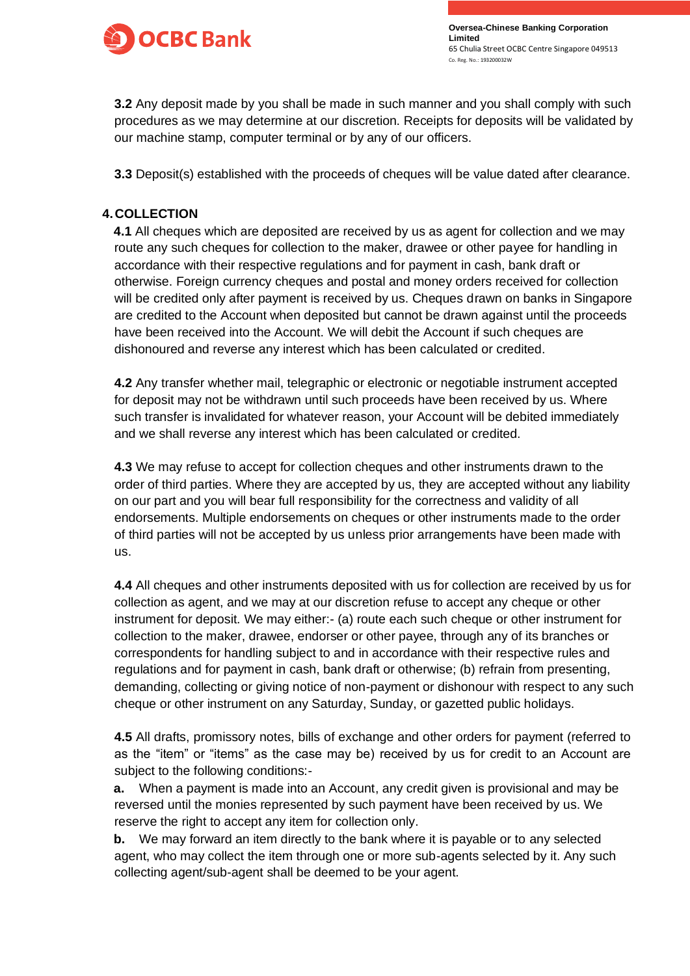

**3.2** Any deposit made by you shall be made in such manner and you shall comply with such procedures as we may determine at our discretion. Receipts for deposits will be validated by our machine stamp, computer terminal or by any of our officers.

**3.3** Deposit(s) established with the proceeds of cheques will be value dated after clearance.

# **4.COLLECTION**

**4.1** All cheques which are deposited are received by us as agent for collection and we may route any such cheques for collection to the maker, drawee or other payee for handling in accordance with their respective regulations and for payment in cash, bank draft or otherwise. Foreign currency cheques and postal and money orders received for collection will be credited only after payment is received by us. Cheques drawn on banks in Singapore are credited to the Account when deposited but cannot be drawn against until the proceeds have been received into the Account. We will debit the Account if such cheques are dishonoured and reverse any interest which has been calculated or credited.

**4.2** Any transfer whether mail, telegraphic or electronic or negotiable instrument accepted for deposit may not be withdrawn until such proceeds have been received by us. Where such transfer is invalidated for whatever reason, your Account will be debited immediately and we shall reverse any interest which has been calculated or credited.

**4.3** We may refuse to accept for collection cheques and other instruments drawn to the order of third parties. Where they are accepted by us, they are accepted without any liability on our part and you will bear full responsibility for the correctness and validity of all endorsements. Multiple endorsements on cheques or other instruments made to the order of third parties will not be accepted by us unless prior arrangements have been made with us.

**4.4** All cheques and other instruments deposited with us for collection are received by us for collection as agent, and we may at our discretion refuse to accept any cheque or other instrument for deposit. We may either:- (a) route each such cheque or other instrument for collection to the maker, drawee, endorser or other payee, through any of its branches or correspondents for handling subject to and in accordance with their respective rules and regulations and for payment in cash, bank draft or otherwise; (b) refrain from presenting, demanding, collecting or giving notice of non-payment or dishonour with respect to any such cheque or other instrument on any Saturday, Sunday, or gazetted public holidays.

**4.5** All drafts, promissory notes, bills of exchange and other orders for payment (referred to as the "item" or "items" as the case may be) received by us for credit to an Account are subject to the following conditions:-

**a.** When a payment is made into an Account, any credit given is provisional and may be reversed until the monies represented by such payment have been received by us. We reserve the right to accept any item for collection only.

**b.** We may forward an item directly to the bank where it is payable or to any selected agent, who may collect the item through one or more sub-agents selected by it. Any such collecting agent/sub-agent shall be deemed to be your agent.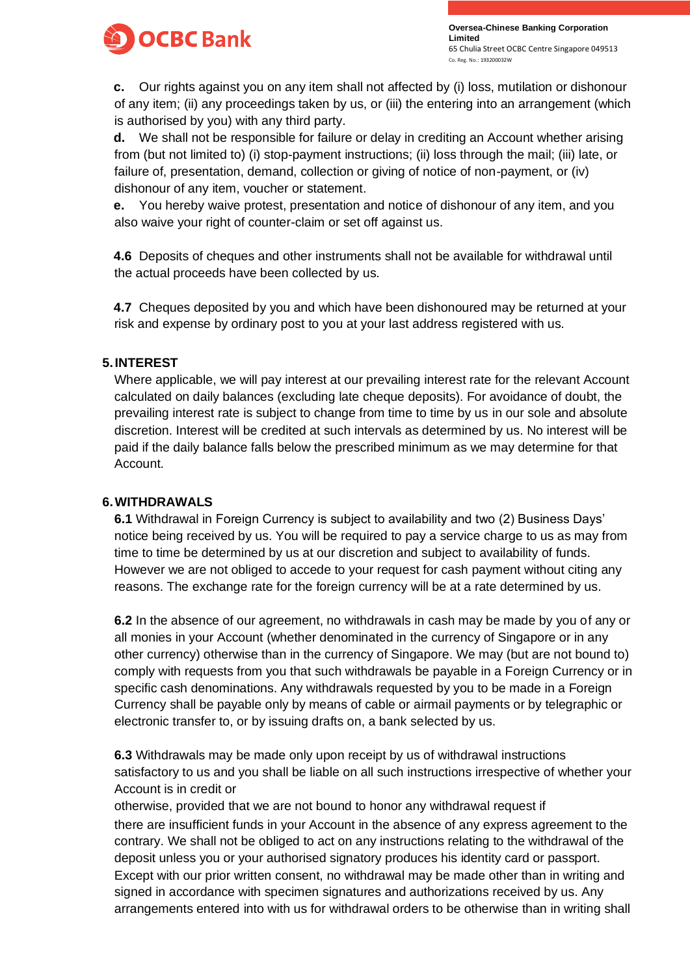

**c.** Our rights against you on any item shall not affected by (i) loss, mutilation or dishonour of any item; (ii) any proceedings taken by us, or (iii) the entering into an arrangement (which is authorised by you) with any third party.

**d.** We shall not be responsible for failure or delay in crediting an Account whether arising from (but not limited to) (i) stop-payment instructions; (ii) loss through the mail; (iii) late, or failure of, presentation, demand, collection or giving of notice of non-payment, or (iv) dishonour of any item, voucher or statement.

**e.** You hereby waive protest, presentation and notice of dishonour of any item, and you also waive your right of counter-claim or set off against us.

**4.6** Deposits of cheques and other instruments shall not be available for withdrawal until the actual proceeds have been collected by us.

**4.7** Cheques deposited by you and which have been dishonoured may be returned at your risk and expense by ordinary post to you at your last address registered with us.

# **5.INTEREST**

Where applicable, we will pay interest at our prevailing interest rate for the relevant Account calculated on daily balances (excluding late cheque deposits). For avoidance of doubt, the prevailing interest rate is subject to change from time to time by us in our sole and absolute discretion. Interest will be credited at such intervals as determined by us. No interest will be paid if the daily balance falls below the prescribed minimum as we may determine for that Account.

## **6.WITHDRAWALS**

**6.1** Withdrawal in Foreign Currency is subject to availability and two (2) Business Days' notice being received by us. You will be required to pay a service charge to us as may from time to time be determined by us at our discretion and subject to availability of funds. However we are not obliged to accede to your request for cash payment without citing any reasons. The exchange rate for the foreign currency will be at a rate determined by us.

**6.2** In the absence of our agreement, no withdrawals in cash may be made by you of any or all monies in your Account (whether denominated in the currency of Singapore or in any other currency) otherwise than in the currency of Singapore. We may (but are not bound to) comply with requests from you that such withdrawals be payable in a Foreign Currency or in specific cash denominations. Any withdrawals requested by you to be made in a Foreign Currency shall be payable only by means of cable or airmail payments or by telegraphic or electronic transfer to, or by issuing drafts on, a bank selected by us.

**6.3** Withdrawals may be made only upon receipt by us of withdrawal instructions satisfactory to us and you shall be liable on all such instructions irrespective of whether your Account is in credit or

otherwise, provided that we are not bound to honor any withdrawal request if there are insufficient funds in your Account in the absence of any express agreement to the contrary. We shall not be obliged to act on any instructions relating to the withdrawal of the deposit unless you or your authorised signatory produces his identity card or passport. Except with our prior written consent, no withdrawal may be made other than in writing and signed in accordance with specimen signatures and authorizations received by us. Any arrangements entered into with us for withdrawal orders to be otherwise than in writing shall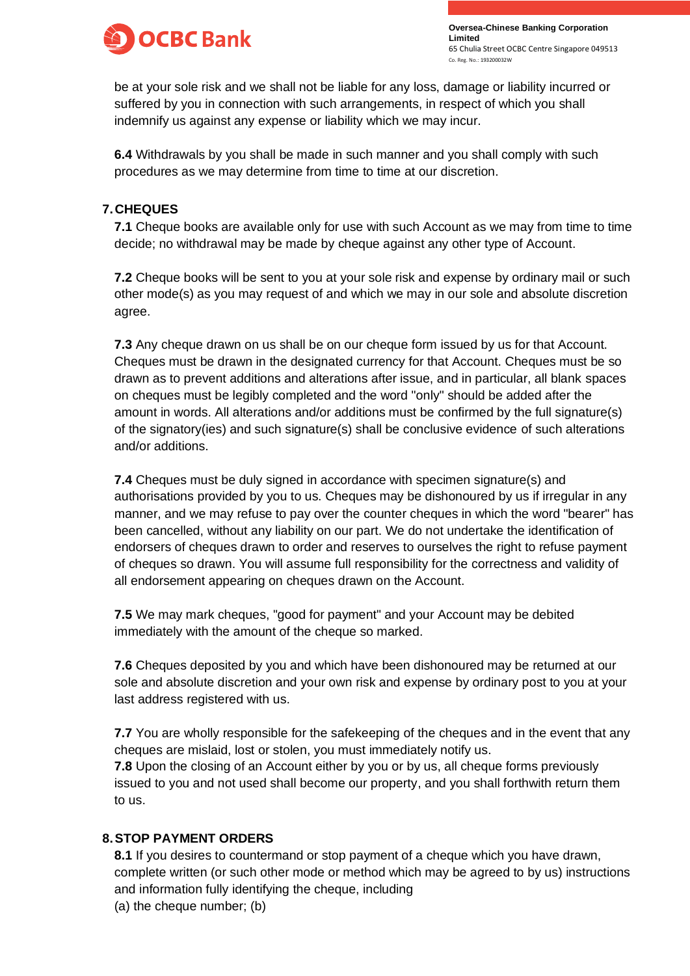

be at your sole risk and we shall not be liable for any loss, damage or liability incurred or suffered by you in connection with such arrangements, in respect of which you shall indemnify us against any expense or liability which we may incur.

**6.4** Withdrawals by you shall be made in such manner and you shall comply with such procedures as we may determine from time to time at our discretion.

# **7.CHEQUES**

**7.1** Cheque books are available only for use with such Account as we may from time to time decide; no withdrawal may be made by cheque against any other type of Account.

**7.2** Cheque books will be sent to you at your sole risk and expense by ordinary mail or such other mode(s) as you may request of and which we may in our sole and absolute discretion agree.

**7.3** Any cheque drawn on us shall be on our cheque form issued by us for that Account. Cheques must be drawn in the designated currency for that Account. Cheques must be so drawn as to prevent additions and alterations after issue, and in particular, all blank spaces on cheques must be legibly completed and the word "only" should be added after the amount in words. All alterations and/or additions must be confirmed by the full signature(s) of the signatory(ies) and such signature(s) shall be conclusive evidence of such alterations and/or additions.

**7.4** Cheques must be duly signed in accordance with specimen signature(s) and authorisations provided by you to us. Cheques may be dishonoured by us if irregular in any manner, and we may refuse to pay over the counter cheques in which the word "bearer" has been cancelled, without any liability on our part. We do not undertake the identification of endorsers of cheques drawn to order and reserves to ourselves the right to refuse payment of cheques so drawn. You will assume full responsibility for the correctness and validity of all endorsement appearing on cheques drawn on the Account.

**7.5** We may mark cheques, "good for payment" and your Account may be debited immediately with the amount of the cheque so marked.

**7.6** Cheques deposited by you and which have been dishonoured may be returned at our sole and absolute discretion and your own risk and expense by ordinary post to you at your last address registered with us.

**7.7** You are wholly responsible for the safekeeping of the cheques and in the event that any cheques are mislaid, lost or stolen, you must immediately notify us.

**7.8** Upon the closing of an Account either by you or by us, all cheque forms previously issued to you and not used shall become our property, and you shall forthwith return them to us.

## **8.STOP PAYMENT ORDERS**

**8.1** If you desires to countermand or stop payment of a cheque which you have drawn, complete written (or such other mode or method which may be agreed to by us) instructions and information fully identifying the cheque, including

(a) the cheque number; (b)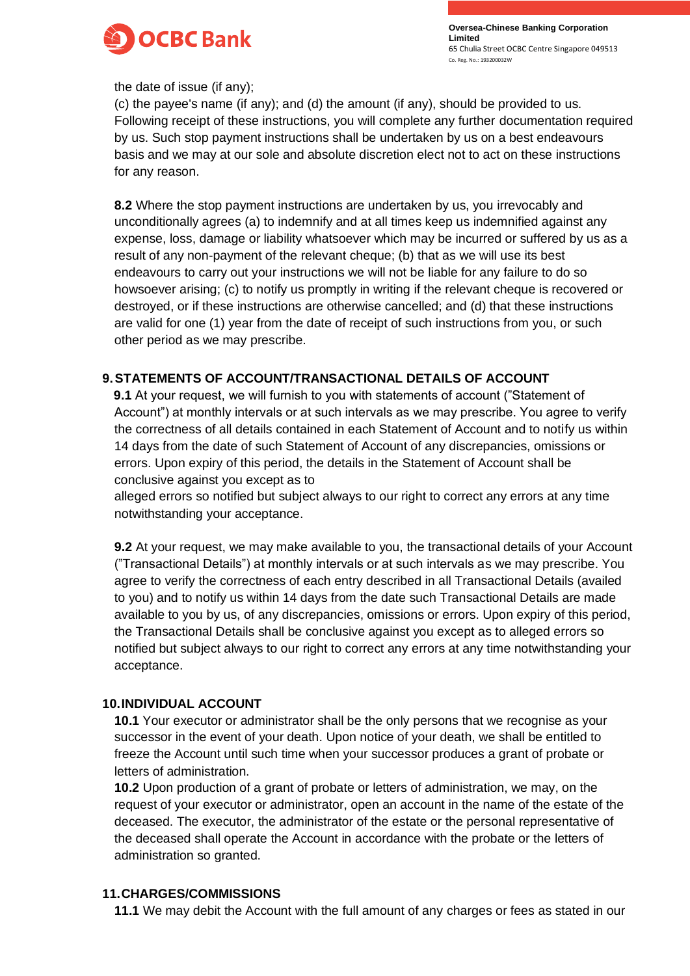

the date of issue (if any);

(c) the payee's name (if any); and (d) the amount (if any), should be provided to us. Following receipt of these instructions, you will complete any further documentation required by us. Such stop payment instructions shall be undertaken by us on a best endeavours basis and we may at our sole and absolute discretion elect not to act on these instructions for any reason.

**8.2** Where the stop payment instructions are undertaken by us, you irrevocably and unconditionally agrees (a) to indemnify and at all times keep us indemnified against any expense, loss, damage or liability whatsoever which may be incurred or suffered by us as a result of any non-payment of the relevant cheque; (b) that as we will use its best endeavours to carry out your instructions we will not be liable for any failure to do so howsoever arising; (c) to notify us promptly in writing if the relevant cheque is recovered or destroyed, or if these instructions are otherwise cancelled; and (d) that these instructions are valid for one (1) year from the date of receipt of such instructions from you, or such other period as we may prescribe.

## **9.STATEMENTS OF ACCOUNT/TRANSACTIONAL DETAILS OF ACCOUNT**

**9.1** At your request, we will furnish to you with statements of account ("Statement of Account") at monthly intervals or at such intervals as we may prescribe. You agree to verify the correctness of all details contained in each Statement of Account and to notify us within 14 days from the date of such Statement of Account of any discrepancies, omissions or errors. Upon expiry of this period, the details in the Statement of Account shall be conclusive against you except as to

alleged errors so notified but subject always to our right to correct any errors at any time notwithstanding your acceptance.

**9.2** At your request, we may make available to you, the transactional details of your Account ("Transactional Details") at monthly intervals or at such intervals as we may prescribe. You agree to verify the correctness of each entry described in all Transactional Details (availed to you) and to notify us within 14 days from the date such Transactional Details are made available to you by us, of any discrepancies, omissions or errors. Upon expiry of this period, the Transactional Details shall be conclusive against you except as to alleged errors so notified but subject always to our right to correct any errors at any time notwithstanding your acceptance.

#### **10.INDIVIDUAL ACCOUNT**

**10.1** Your executor or administrator shall be the only persons that we recognise as your successor in the event of your death. Upon notice of your death, we shall be entitled to freeze the Account until such time when your successor produces a grant of probate or letters of administration.

**10.2** Upon production of a grant of probate or letters of administration, we may, on the request of your executor or administrator, open an account in the name of the estate of the deceased. The executor, the administrator of the estate or the personal representative of the deceased shall operate the Account in accordance with the probate or the letters of administration so granted.

## **11.CHARGES/COMMISSIONS**

**11.1** We may debit the Account with the full amount of any charges or fees as stated in our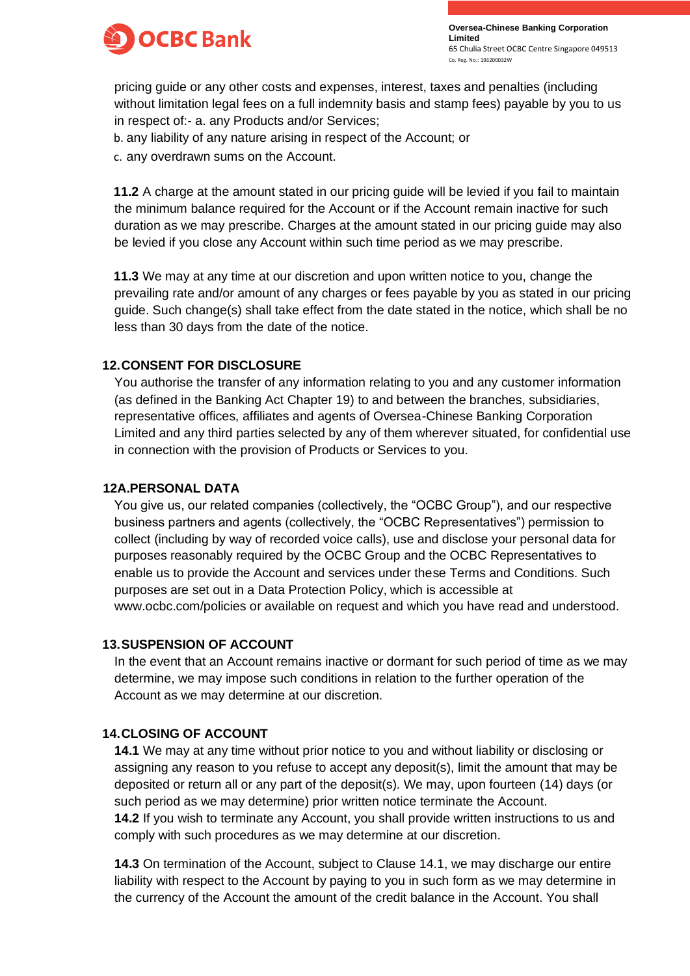

pricing guide or any other costs and expenses, interest, taxes and penalties (including without limitation legal fees on a full indemnity basis and stamp fees) payable by you to us in respect of:- a. any Products and/or Services;

b. any liability of any nature arising in respect of the Account; or

c. any overdrawn sums on the Account.

**11.2** A charge at the amount stated in our pricing guide will be levied if you fail to maintain the minimum balance required for the Account or if the Account remain inactive for such duration as we may prescribe. Charges at the amount stated in our pricing guide may also be levied if you close any Account within such time period as we may prescribe.

**11.3** We may at any time at our discretion and upon written notice to you, change the prevailing rate and/or amount of any charges or fees payable by you as stated in our pricing guide. Such change(s) shall take effect from the date stated in the notice, which shall be no less than 30 days from the date of the notice.

### **12.CONSENT FOR DISCLOSURE**

You authorise the transfer of any information relating to you and any customer information (as defined in the Banking Act Chapter 19) to and between the branches, subsidiaries, representative offices, affiliates and agents of Oversea-Chinese Banking Corporation Limited and any third parties selected by any of them wherever situated, for confidential use in connection with the provision of Products or Services to you.

#### **12A.PERSONAL DATA**

You give us, our related companies (collectively, the "OCBC Group"), and our respective business partners and agents (collectively, the "OCBC Representatives") permission to collect (including by way of recorded voice calls), use and disclose your personal data for purposes reasonably required by the OCBC Group and the OCBC Representatives to enable us to provide the Account and services under these Terms and Conditions. Such purposes are set out in a Data Protection Policy, which is accessible a[t](http://www.ocbc.com/policies) [www.ocbc.com/policies or](http://www.ocbc.com/policies) available on request and which you have read and understood.

## **13.SUSPENSION OF ACCOUNT**

In the event that an Account remains inactive or dormant for such period of time as we may determine, we may impose such conditions in relation to the further operation of the Account as we may determine at our discretion.

## **14.CLOSING OF ACCOUNT**

**14.1** We may at any time without prior notice to you and without liability or disclosing or assigning any reason to you refuse to accept any deposit(s), limit the amount that may be deposited or return all or any part of the deposit(s). We may, upon fourteen (14) days (or such period as we may determine) prior written notice terminate the Account. **14.2** If you wish to terminate any Account, you shall provide written instructions to us and comply with such procedures as we may determine at our discretion.

**14.3** On termination of the Account, subject to Clause 14.1, we may discharge our entire liability with respect to the Account by paying to you in such form as we may determine in the currency of the Account the amount of the credit balance in the Account. You shall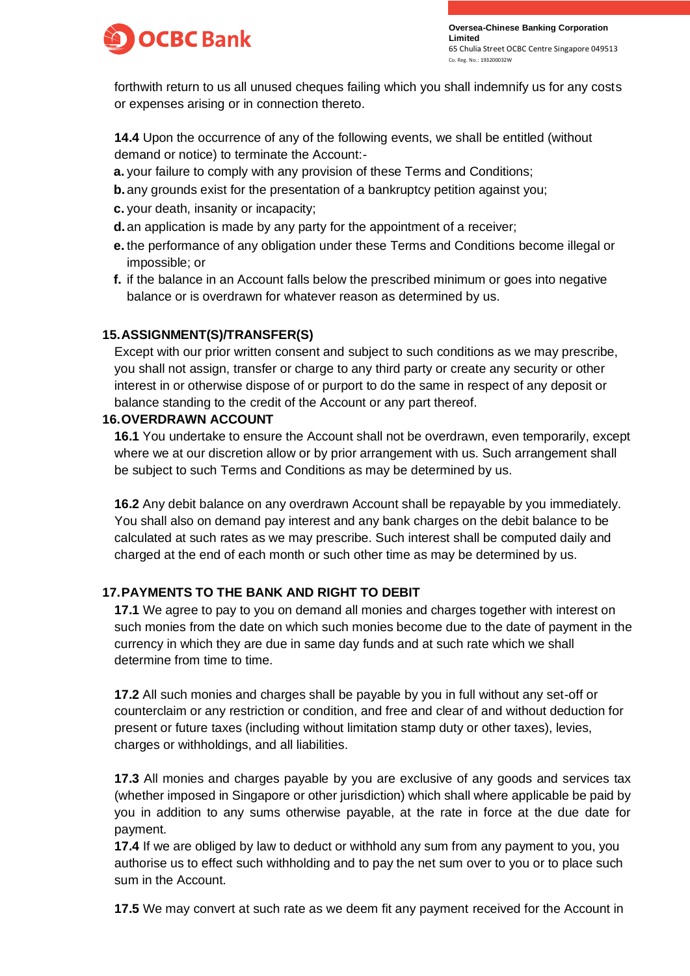

forthwith return to us all unused cheques failing which you shall indemnify us for any costs or expenses arising or in connection thereto.

**14.4** Upon the occurrence of any of the following events, we shall be entitled (without demand or notice) to terminate the Account:-

- **a.** your failure to comply with any provision of these Terms and Conditions;
- **b.** any grounds exist for the presentation of a bankruptcy petition against you;
- **c.** your death, insanity or incapacity;
- **d.**an application is made by any party for the appointment of a receiver;
- **e.** the performance of any obligation under these Terms and Conditions become illegal or impossible; or
- **f.** if the balance in an Account falls below the prescribed minimum or goes into negative balance or is overdrawn for whatever reason as determined by us.

# **15.ASSIGNMENT(S)/TRANSFER(S)**

Except with our prior written consent and subject to such conditions as we may prescribe, you shall not assign, transfer or charge to any third party or create any security or other interest in or otherwise dispose of or purport to do the same in respect of any deposit or balance standing to the credit of the Account or any part thereof.

#### **16.OVERDRAWN ACCOUNT**

**16.1** You undertake to ensure the Account shall not be overdrawn, even temporarily, except where we at our discretion allow or by prior arrangement with us. Such arrangement shall be subject to such Terms and Conditions as may be determined by us.

**16.2** Any debit balance on any overdrawn Account shall be repayable by you immediately. You shall also on demand pay interest and any bank charges on the debit balance to be calculated at such rates as we may prescribe. Such interest shall be computed daily and charged at the end of each month or such other time as may be determined by us.

## **17.PAYMENTS TO THE BANK AND RIGHT TO DEBIT**

**17.1** We agree to pay to you on demand all monies and charges together with interest on such monies from the date on which such monies become due to the date of payment in the currency in which they are due in same day funds and at such rate which we shall determine from time to time.

**17.2** All such monies and charges shall be payable by you in full without any set-off or counterclaim or any restriction or condition, and free and clear of and without deduction for present or future taxes (including without limitation stamp duty or other taxes), levies, charges or withholdings, and all liabilities.

**17.3** All monies and charges payable by you are exclusive of any goods and services tax (whether imposed in Singapore or other jurisdiction) which shall where applicable be paid by you in addition to any sums otherwise payable, at the rate in force at the due date for payment.

**17.4** If we are obliged by law to deduct or withhold any sum from any payment to you, you authorise us to effect such withholding and to pay the net sum over to you or to place such sum in the Account.

**17.5** We may convert at such rate as we deem fit any payment received for the Account in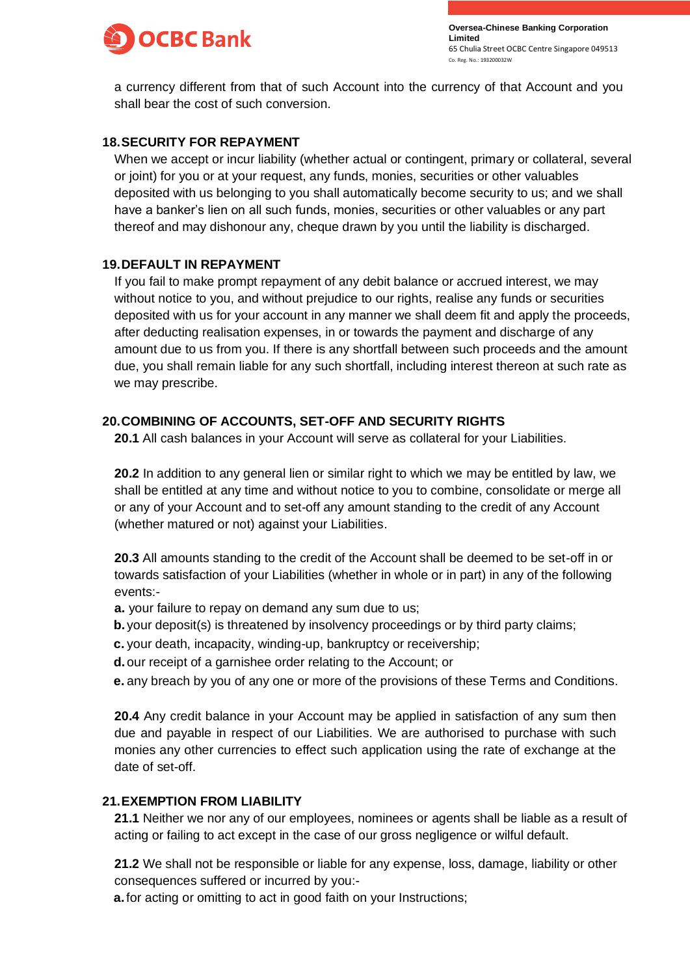

a currency different from that of such Account into the currency of that Account and you shall bear the cost of such conversion.

## **18.SECURITY FOR REPAYMENT**

When we accept or incur liability (whether actual or contingent, primary or collateral, several or joint) for you or at your request, any funds, monies, securities or other valuables deposited with us belonging to you shall automatically become security to us; and we shall have a banker's lien on all such funds, monies, securities or other valuables or any part thereof and may dishonour any, cheque drawn by you until the liability is discharged.

# **19.DEFAULT IN REPAYMENT**

If you fail to make prompt repayment of any debit balance or accrued interest, we may without notice to you, and without prejudice to our rights, realise any funds or securities deposited with us for your account in any manner we shall deem fit and apply the proceeds, after deducting realisation expenses, in or towards the payment and discharge of any amount due to us from you. If there is any shortfall between such proceeds and the amount due, you shall remain liable for any such shortfall, including interest thereon at such rate as we may prescribe.

# **20.COMBINING OF ACCOUNTS, SET-OFF AND SECURITY RIGHTS**

**20.1** All cash balances in your Account will serve as collateral for your Liabilities.

**20.2** In addition to any general lien or similar right to which we may be entitled by law, we shall be entitled at any time and without notice to you to combine, consolidate or merge all or any of your Account and to set-off any amount standing to the credit of any Account (whether matured or not) against your Liabilities.

**20.3** All amounts standing to the credit of the Account shall be deemed to be set-off in or towards satisfaction of your Liabilities (whether in whole or in part) in any of the following events:-

- **a.** your failure to repay on demand any sum due to us;
- **b.** your deposit(s) is threatened by insolvency proceedings or by third party claims;
- **c.** your death, incapacity, winding-up, bankruptcy or receivership;
- **d.**our receipt of a garnishee order relating to the Account; or
- **e.** any breach by you of any one or more of the provisions of these Terms and Conditions.

**20.4** Any credit balance in your Account may be applied in satisfaction of any sum then due and payable in respect of our Liabilities. We are authorised to purchase with such monies any other currencies to effect such application using the rate of exchange at the date of set-off.

## **21.EXEMPTION FROM LIABILITY**

**21.1** Neither we nor any of our employees, nominees or agents shall be liable as a result of acting or failing to act except in the case of our gross negligence or wilful default.

**21.2** We shall not be responsible or liable for any expense, loss, damage, liability or other consequences suffered or incurred by you:-

**a.** for acting or omitting to act in good faith on your Instructions;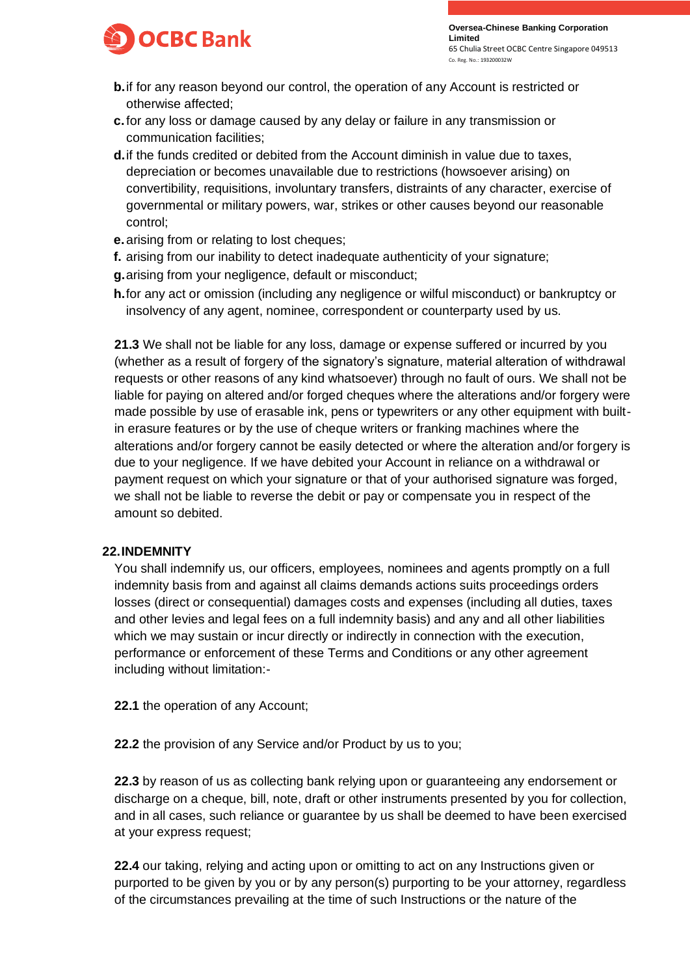

- **b.**if for any reason beyond our control, the operation of any Account is restricted or otherwise affected;
- **c.**for any loss or damage caused by any delay or failure in any transmission or communication facilities;
- **d.**if the funds credited or debited from the Account diminish in value due to taxes, depreciation or becomes unavailable due to restrictions (howsoever arising) on convertibility, requisitions, involuntary transfers, distraints of any character, exercise of governmental or military powers, war, strikes or other causes beyond our reasonable control;
- **e.**arising from or relating to lost cheques;
- **f.** arising from our inability to detect inadequate authenticity of your signature;
- **g.**arising from your negligence, default or misconduct;
- **h.**for any act or omission (including any negligence or wilful misconduct) or bankruptcy or insolvency of any agent, nominee, correspondent or counterparty used by us.

**21.3** We shall not be liable for any loss, damage or expense suffered or incurred by you (whether as a result of forgery of the signatory's signature, material alteration of withdrawal requests or other reasons of any kind whatsoever) through no fault of ours. We shall not be liable for paying on altered and/or forged cheques where the alterations and/or forgery were made possible by use of erasable ink, pens or typewriters or any other equipment with builtin erasure features or by the use of cheque writers or franking machines where the alterations and/or forgery cannot be easily detected or where the alteration and/or forgery is due to your negligence. If we have debited your Account in reliance on a withdrawal or payment request on which your signature or that of your authorised signature was forged, we shall not be liable to reverse the debit or pay or compensate you in respect of the amount so debited.

## **22.INDEMNITY**

You shall indemnify us, our officers, employees, nominees and agents promptly on a full indemnity basis from and against all claims demands actions suits proceedings orders losses (direct or consequential) damages costs and expenses (including all duties, taxes and other levies and legal fees on a full indemnity basis) and any and all other liabilities which we may sustain or incur directly or indirectly in connection with the execution, performance or enforcement of these Terms and Conditions or any other agreement including without limitation:-

**22.1** the operation of any Account;

**22.2** the provision of any Service and/or Product by us to you;

**22.3** by reason of us as collecting bank relying upon or guaranteeing any endorsement or discharge on a cheque, bill, note, draft or other instruments presented by you for collection, and in all cases, such reliance or guarantee by us shall be deemed to have been exercised at your express request;

**22.4** our taking, relying and acting upon or omitting to act on any Instructions given or purported to be given by you or by any person(s) purporting to be your attorney, regardless of the circumstances prevailing at the time of such Instructions or the nature of the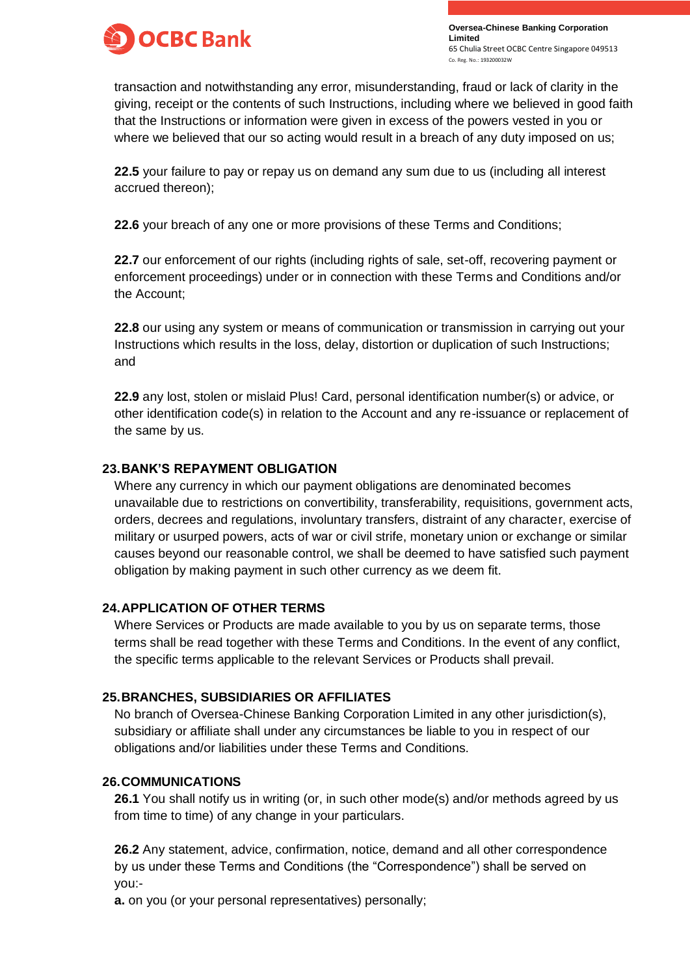

transaction and notwithstanding any error, misunderstanding, fraud or lack of clarity in the giving, receipt or the contents of such Instructions, including where we believed in good faith that the Instructions or information were given in excess of the powers vested in you or where we believed that our so acting would result in a breach of any duty imposed on us;

**22.5** your failure to pay or repay us on demand any sum due to us (including all interest accrued thereon);

**22.6** your breach of any one or more provisions of these Terms and Conditions;

**22.7** our enforcement of our rights (including rights of sale, set-off, recovering payment or enforcement proceedings) under or in connection with these Terms and Conditions and/or the Account;

**22.8** our using any system or means of communication or transmission in carrying out your Instructions which results in the loss, delay, distortion or duplication of such Instructions; and

**22.9** any lost, stolen or mislaid Plus! Card, personal identification number(s) or advice, or other identification code(s) in relation to the Account and any re-issuance or replacement of the same by us.

## **23.BANK'S REPAYMENT OBLIGATION**

Where any currency in which our payment obligations are denominated becomes unavailable due to restrictions on convertibility, transferability, requisitions, government acts, orders, decrees and regulations, involuntary transfers, distraint of any character, exercise of military or usurped powers, acts of war or civil strife, monetary union or exchange or similar causes beyond our reasonable control, we shall be deemed to have satisfied such payment obligation by making payment in such other currency as we deem fit.

#### **24.APPLICATION OF OTHER TERMS**

Where Services or Products are made available to you by us on separate terms, those terms shall be read together with these Terms and Conditions. In the event of any conflict, the specific terms applicable to the relevant Services or Products shall prevail.

## **25.BRANCHES, SUBSIDIARIES OR AFFILIATES**

No branch of Oversea-Chinese Banking Corporation Limited in any other jurisdiction(s), subsidiary or affiliate shall under any circumstances be liable to you in respect of our obligations and/or liabilities under these Terms and Conditions.

## **26.COMMUNICATIONS**

**26.1** You shall notify us in writing (or, in such other mode(s) and/or methods agreed by us from time to time) of any change in your particulars.

**26.2** Any statement, advice, confirmation, notice, demand and all other correspondence by us under these Terms and Conditions (the "Correspondence") shall be served on you:-

**a.** on you (or your personal representatives) personally;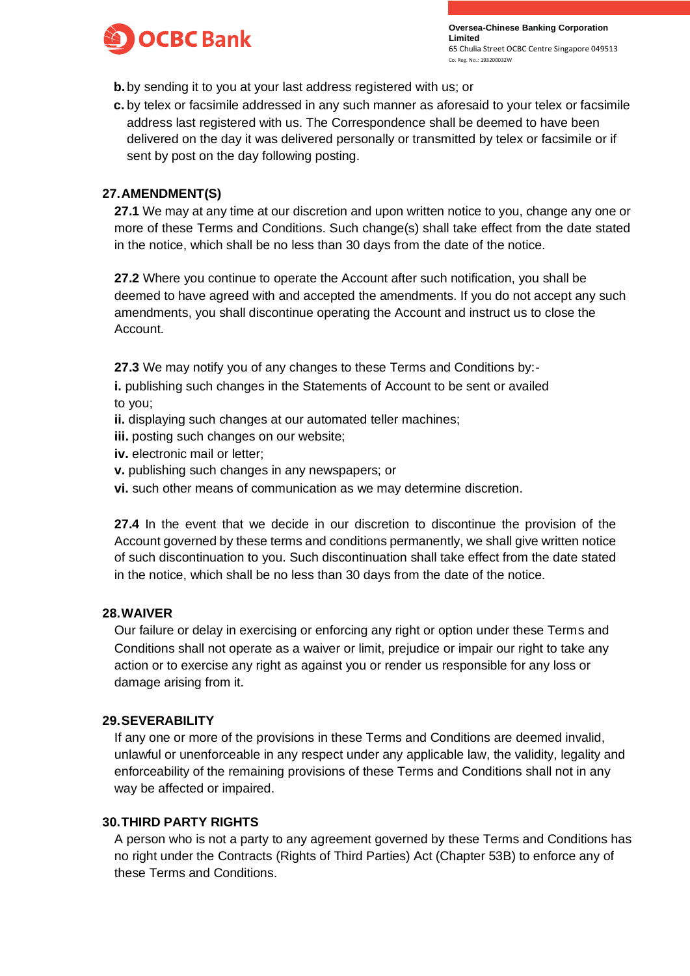

- **b.**by sending it to you at your last address registered with us; or
- **c.** by telex or facsimile addressed in any such manner as aforesaid to your telex or facsimile address last registered with us. The Correspondence shall be deemed to have been delivered on the day it was delivered personally or transmitted by telex or facsimile or if sent by post on the day following posting.

#### **27.AMENDMENT(S)**

**27.1** We may at any time at our discretion and upon written notice to you, change any one or more of these Terms and Conditions. Such change(s) shall take effect from the date stated in the notice, which shall be no less than 30 days from the date of the notice.

**27.2** Where you continue to operate the Account after such notification, you shall be deemed to have agreed with and accepted the amendments. If you do not accept any such amendments, you shall discontinue operating the Account and instruct us to close the Account.

**27.3** We may notify you of any changes to these Terms and Conditions by:-

**i.** publishing such changes in the Statements of Account to be sent or availed to you;

- **ii.** displaying such changes at our automated teller machines;
- **iii.** posting such changes on our website;
- **iv.** electronic mail or letter;
- **v.** publishing such changes in any newspapers; or
- **vi.** such other means of communication as we may determine discretion.

**27.4** In the event that we decide in our discretion to discontinue the provision of the Account governed by these terms and conditions permanently, we shall give written notice of such discontinuation to you. Such discontinuation shall take effect from the date stated in the notice, which shall be no less than 30 days from the date of the notice.

#### **28.WAIVER**

Our failure or delay in exercising or enforcing any right or option under these Terms and Conditions shall not operate as a waiver or limit, prejudice or impair our right to take any action or to exercise any right as against you or render us responsible for any loss or damage arising from it.

#### **29.SEVERABILITY**

If any one or more of the provisions in these Terms and Conditions are deemed invalid, unlawful or unenforceable in any respect under any applicable law, the validity, legality and enforceability of the remaining provisions of these Terms and Conditions shall not in any way be affected or impaired.

## **30.THIRD PARTY RIGHTS**

A person who is not a party to any agreement governed by these Terms and Conditions has no right under the Contracts (Rights of Third Parties) Act (Chapter 53B) to enforce any of these Terms and Conditions.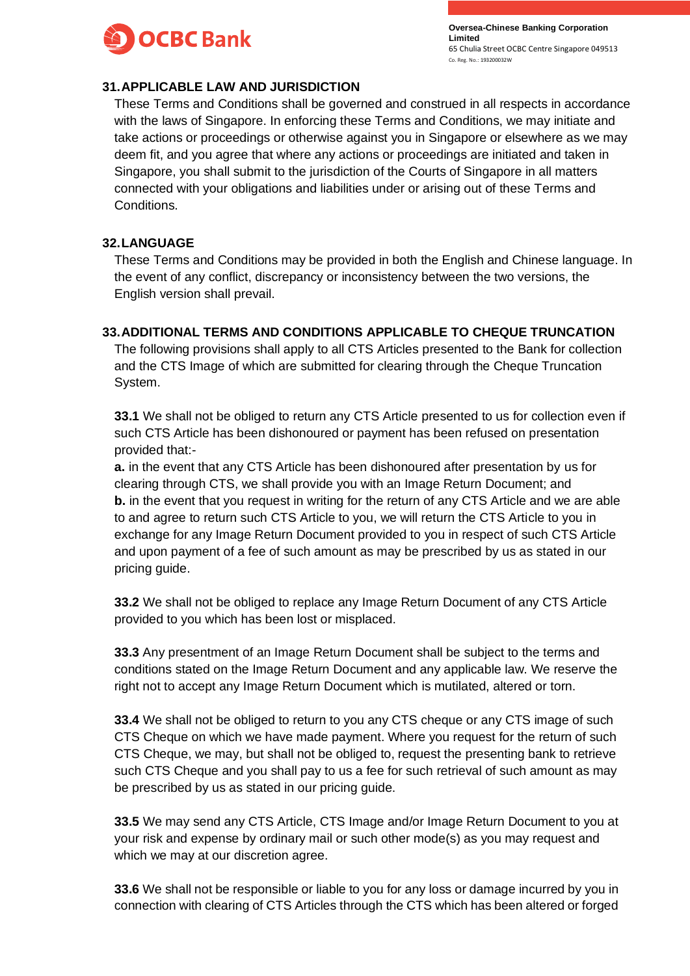

### **31.APPLICABLE LAW AND JURISDICTION**

These Terms and Conditions shall be governed and construed in all respects in accordance with the laws of Singapore. In enforcing these Terms and Conditions, we may initiate and take actions or proceedings or otherwise against you in Singapore or elsewhere as we may deem fit, and you agree that where any actions or proceedings are initiated and taken in Singapore, you shall submit to the jurisdiction of the Courts of Singapore in all matters connected with your obligations and liabilities under or arising out of these Terms and Conditions.

#### **32.LANGUAGE**

These Terms and Conditions may be provided in both the English and Chinese language. In the event of any conflict, discrepancy or inconsistency between the two versions, the English version shall prevail.

## **33.ADDITIONAL TERMS AND CONDITIONS APPLICABLE TO CHEQUE TRUNCATION**

The following provisions shall apply to all CTS Articles presented to the Bank for collection and the CTS Image of which are submitted for clearing through the Cheque Truncation System.

**33.1** We shall not be obliged to return any CTS Article presented to us for collection even if such CTS Article has been dishonoured or payment has been refused on presentation provided that:-

**a.** in the event that any CTS Article has been dishonoured after presentation by us for clearing through CTS, we shall provide you with an Image Return Document; and **b.** in the event that you request in writing for the return of any CTS Article and we are able to and agree to return such CTS Article to you, we will return the CTS Article to you in exchange for any Image Return Document provided to you in respect of such CTS Article and upon payment of a fee of such amount as may be prescribed by us as stated in our pricing guide.

**33.2** We shall not be obliged to replace any Image Return Document of any CTS Article provided to you which has been lost or misplaced.

**33.3** Any presentment of an Image Return Document shall be subject to the terms and conditions stated on the Image Return Document and any applicable law. We reserve the right not to accept any Image Return Document which is mutilated, altered or torn.

**33.4** We shall not be obliged to return to you any CTS cheque or any CTS image of such CTS Cheque on which we have made payment. Where you request for the return of such CTS Cheque, we may, but shall not be obliged to, request the presenting bank to retrieve such CTS Cheque and you shall pay to us a fee for such retrieval of such amount as may be prescribed by us as stated in our pricing guide.

**33.5** We may send any CTS Article, CTS Image and/or Image Return Document to you at your risk and expense by ordinary mail or such other mode(s) as you may request and which we may at our discretion agree.

**33.6** We shall not be responsible or liable to you for any loss or damage incurred by you in connection with clearing of CTS Articles through the CTS which has been altered or forged